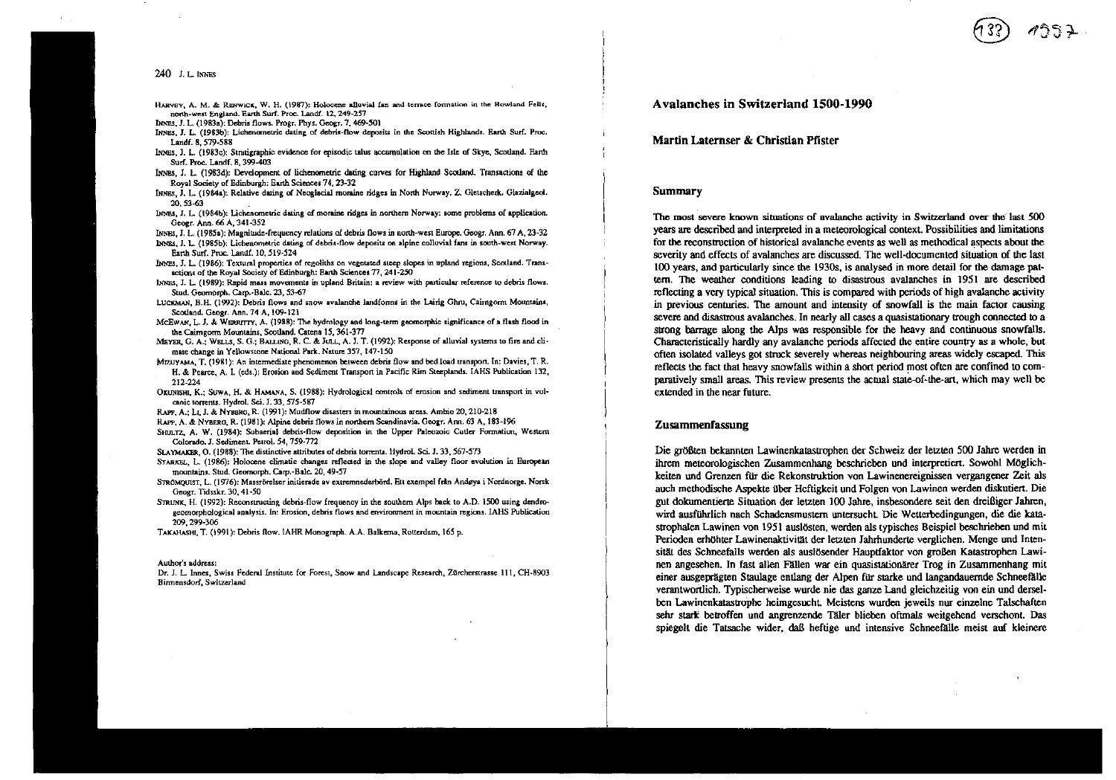#### $240$  LL INNES

 $\mathbf{u}$  and  $\mathbf{u}$ 

HARVEY, A. M. & RENWICK, W. H. (1987): Holocene alluvial fan and terrace formation in the Howland Fells, north-west England. Earth Surf. Proc. Landf. 12, 249-257

INNES, J. L. (1983a); Debris flows. Progr. Phys. Geogr. 7, 469-501

- INNES, J. L. (1983b); Lichenometric datine of debris-flow deposits in the Scottish Highlands, Earth Surf. Proc. Landf. 8. 579-588
- INNES, J. L. (1983c): Stratigraphic evidence for episodic talus accumulation on the Isle of Skye, Scotland. Earth Surf. Proc. Landf. 8, 399-403
- INNES, J. L. (1983d): Development of lichenometric dating curves for Highland Scotland. Transactions of the Royal Society of Edinburgh: Earth Sciences 74, 23-32
- INNES, J. L. (1984a); Relative dating of Neoglacial moraine ridges in North Norway, Z. Gletscherk. Glazialgeol.  $20.53.63$
- INNES, J. L. (1984b): Lichenometric dating of moraine ridges in northern Norway: some problems of application. Geogr. Ann. 66 A, 341-352
- INNES, J. L. (1985a); Magnitude-frequency relations of debris flows in north-west Europe. Geogr. Ann. 67 A, 23-32
- INNES, J. L. (1985b); Lichenometric dating of debris-flow deposits on alpine colluvial fans in south-west Norway. Earth Surf. Proc. Landf. 10, 519-524
- INNES, J. L. (1986); Textural properties of regoliths on vegetated steep slopes in upland regions, Scotland. Transactions of the Royal Society of Edinburgh: Earth Sciences 77, 241-250
- INNES, J. L. (1989): Rapid mass movements in upland Britain: a review with particular reference to debris flows. Stud. Geomorph. Carp.-Balc. 23, 53-67
- LUCKMAN, B.H. (1992): Debris flows and snow avalanche landforms in the Lairig Ghru, Caimgorm Mountains, Scotland, Geogr. Ann. 74 A. 109-121
- McEwan, L. J. & WERRITTY, A. (1988): The hydrology and long-term geomorphic significance of a flash flood in the Cairngorm Mountains, Scotland. Catena 15, 361-377
- MEYER G. A.: WELLS, S. G.: BALLING, R. C. & Jul., A. J. T. (1992): Response of alluvial systems to fire and climate change in Yellowstone National Park. Nature 357, 147-150
- MEUYAMA, T. (1981): An intermediate phenomenon between debris flow and bed load transport. In: Davies, T. R. H. & Pearce, A. I. (eds.); Erosion and Sediment Transport in Pacific Rim Steeplands. IAHS Publication 132, 212-224
- OKUNISHI, K.; SUWA, H. & HAMANA, S. (1988): Hydrological controls of erosion and sediment transport in volcanic torrents, Hydrol. Sci. J. 33, 575-587
- RAPP, A.; Lt. J. & NYBBRG, R. (1991): Mudflow disasters in mountainous areas. Ambio 20, 210-218
- RAPP. A. & NYBERG, R. (1981): Alpine debris flows in northern Scandinavia, Geogr. Ann. 63 A. 183-196.
- SHULTZ, A. W. (1984): Subaerial debris-flow deposition in the Upper Paleozoic Cutler Formation, Western Colorado. J. Sediment. Petrol. 54. 759-772
- SLAYMAKER, O. (1988); The distinctive attributes of debris torrents. Hydrol. Sci. J. 33, 567-573
- STARKEL, L. (1986); Holocene climatic changes reflected in the slope and valley floor evolution in European mountains. Stud. Geomorph. Carp. Balc. 20, 49-57
- STRÖMQUIST, L. (1976): Massrörelser initierade av extremnederbörd. Ett exempel från Andøya i Nordnorge. Norsk Geogr. Tidsskr. 30, 41-50
- STRUNK, H. (1992); Reconstructing debris-flow frequency in the southern Alps back to A.D. 1500 using dendroecomorphological analysis. In: Erosion, debris flows and environment in mountain regions, IAHS Publication 209.299-306
- ТАКАНАSНІ, Т. (1991): Debris flow. IAHR Monograph. A.A. Balkerna, Rotterdam, 165 p.

#### Author's address:

Dr. J. L. Innes, Swiss Federal Institute for Forest, Snow and Landscape Research, Zürcherstrasse 111, CH-8903 Birmensdorf, Switzerland

# Avalanches in Switzerland 1500-1990

Martin Laternser & Christian Pfister

## **Summary**

The most severe known situations of avalanche activity in Switzerland over the last 500 years are described and interpreted in a meteorological context. Possibilities and limitations for the reconstruction of historical avalanche events as well as methodical aspects about the severity and effects of avalanches are discussed. The well-documented situation of the last 100 years, and particularly since the 1930s, is analysed in more detail for the damage pattern. The weather conditions leading to disastrous avalanches in 1951 are described reflecting a very typical situation. This is compared with periods of high avalanche activity in previous centuries. The amount and intensity of snowfall is the main factor causing severe and disastrous avalanches. In nearly all cases a quasistationary trough connected to a strong barrage along the Alps was responsible for the heavy and continuous snowfalls. Characteristically hardly any avalanche periods affected the entire country as a whole, but often isolated valleys got struck severely whereas neighbouring areas widely escaped. This reflects the fact that heavy snowfalls within a short period most often are confined to comparatively small areas. This review presents the actual state-of-the-art, which may well be extended in the near future.

### Zusammenfassung

Die größten bekannten Lawinenkatastrophen der Schweiz der letzten 500 Jahre werden in ihrem meteorologischen Zusammenhang beschrieben und interpretiert. Sowohl Möglichkeiten und Grenzen für die Rekonstruktion von Lawinenereignissen vergangener Zeit als auch methodische Aspekte über Heftigkeit und Folgen von Lawinen werden diskutiert. Die gut dokumentierte Situation der letzten 100 Jahre, insbesondere seit den dreißiger Jahren, wird ausführlich nach Schadensmustern untersucht. Die Wetterbedingungen, die die katastrophalen Lawinen von 1951 auslösten, werden als typisches Beispiel beschrieben und mit Perioden erhöhter Lawinenaktivität der letzten Jahrhunderte verglichen. Menge und Intensität des Schneefalls werden als auslösender Hauptfaktor von großen Katastrophen Lawinen angesehen. In fast allen Fällen war ein quasistationärer Trog in Zusammenhang mit einer ausgeprägten Staulage entlang der Alpen für starke und langandauernde Schneefälle verantwortlich. Typischerweise wurde nie das ganze Land gleichzeitig von ein und derselben Lawinenkatastrophe heimgesucht. Meistens wurden jeweils nur einzelne Talschaften sehr stark betroffen und angrenzende Täler blieben oftmals weitgehend verschont. Das spiegelt die Tatsache wider, daß heftige und intensive Schneefälle meist auf kleinere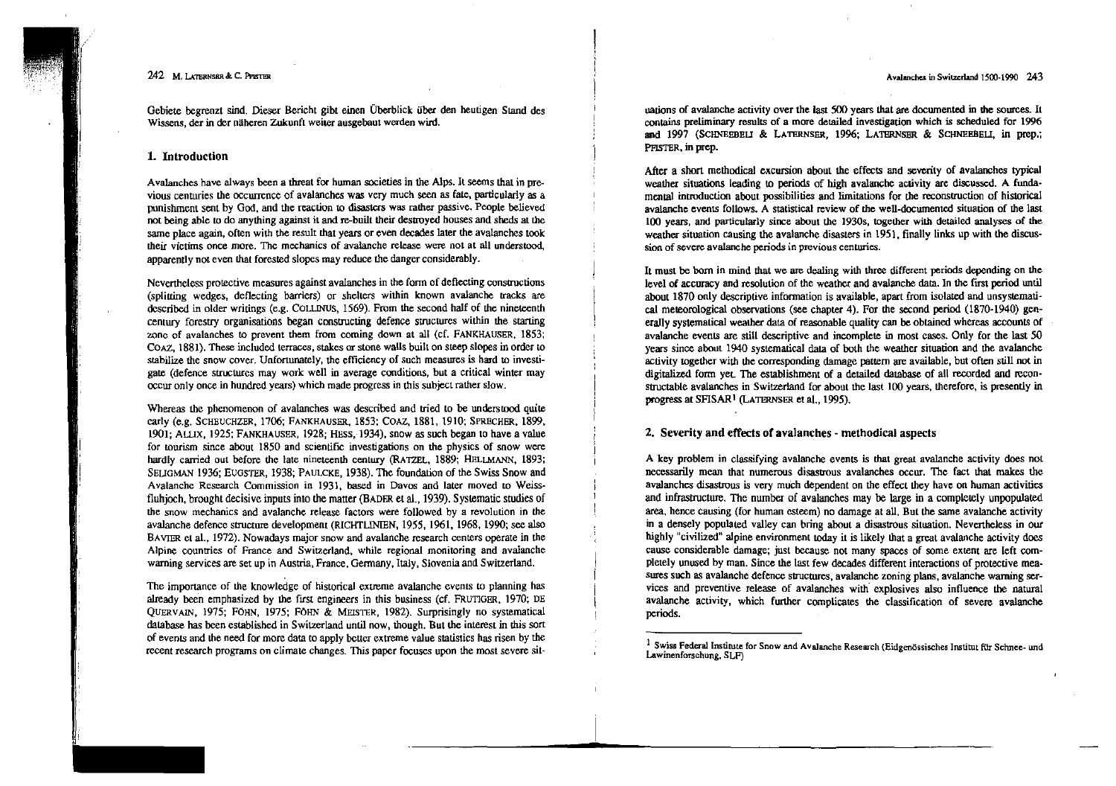Avalanches in Switzerland 1500-1990 243

## 242 M, LATERNSER & C. PFISTER

Gebiete begrenzt sind. Dieser Bericht gibt einen Überblick über den heutigen Sland des Wissens, der in der näheren Zukunft weiter ausgebaut werden wird.

## 1. Introduction

Avalanches have always been a threat for human societies in the Alps. <sup>11</sup> seems that in pre- vious centuries the occurrence of avaIanches was very much seen as fate, particularly as a punishment sent by God, and the reaction to disasters was rather passive. People believed not being able to do anything against it and re-built their destroyed houses and sheds at the same place again, often with the result that years or even decades later the avalanches took their victims once more. The mechanics of avalanche release were not at all understood, apparently not even thal forested slopes may reduce the danger considerably.

Ncvertheless protective measures againsl avalanches in the fonn of defiecting consttuctions (splitting wedges, deflecting barrlers) or shelters within known avalanche tracks are described in older writings (e.g. COLLINUS, 1569). From the second half of the nineteenth cenuuy forestry organisations began consuucting defence structures within the starting zone of avalanches to prevent them from coming down at all (cf. FANKHAUSER, 1853; COAZ. 1881). These included terraccs, stakes or stone waUs built on steep slopes in order to stabilize the snow cover. Unfortunately, the efficiency of such measures is hard to investigate (defence struetures may work weil in average conditions, but a critical winter may occur only once in hundred years) which made progress in this subject rather slow.

Whereas the phenomenon of avalanches was described and tried to be understood quite early (e.g. SCHEUCHZER, 1706; FANKHAUSER, 1853; COAZ, 1881, 1910; SPRECHER, 1899, 1901; ALLIX, 1925; FANKHAUSER, 1928; HESS, 1934), snow as such began to have a value for tourism since about 1850 and scientific investigations on the physics of snow were hardly carried out before the late nineteenth century (RATZEL, 1889; HELLMANN, 1893; SEUGMAN 1936; EUGSTER, 1938; PAULCKE, 1938). The foundation of the Swiss Snow and Avalanche Research Commission in 1931, based in Davos and laler moved 10 Weiss· fluhjoch, brought decisive inputs into the matter (BADER et al., 1939). Systematic studies of the snow mechanics and avalanche release factors were followed by a revolution in the avalanche defencc structure developmem (RICHTLINIEN, 1955, 1961, 1968, 1990; see also BAVIER et al., 1972). Nowadays major snow and avalanche research centers operate in the Alpine countries of France and Switzerland, while regional monitoring and avalanche warning services are set up in Austria, France, Germany, Italy, Slovenia and Switzerland.

The importance of the knowledge of historical extreme avalanche events lo planning has already been emphasized by the first engineers in this business (cf. FRUTIGER, 1970; DE QUERVAIN, 1975; FÖHN, 1975; FÖHN & MEISTER, 1982). Surprisingly no sysrematical database has been established in Switzerland until now, though. But the interest in this sort of events aod the need for more data to apply better extreme value statistics has risen by the recent research programs on climate changes. This paper focuscs upon the most severe silnations of avalanche activity over the last  $500$  years that are documented in the sources. It contains preliminary results of a more detailed investigation which is scheduled for 1996 and 1997 (SCHNEEBEU & LATERNSER, 1996; LATHRNSER & SCHNEBBEU, in prep.; PFIsTER, in prep.

After a short methodical excursion about the effects and severity of avalanches typical weather situations leading to periods of high avalanche activity are discussed. A fundamental introduction about possibilities and limitations for the reconstruction of hiswrical avalanche events foliows. A statistical review of the well-documented situation of the last 100 years, and particularly since about the 1930s, together wilh detailed analyses of the weather situation causing the avalanche disasters in 1951, finally links up with the discussion of severe avalanche periods in previous centuries.

It must be born in mind that we are dealing with three different periods depending on the level of accuracy and resolution of the weather and avalanche data. In the first period until about 1870 only descriptive information is available, apart from isolated and unsystematical meteorological observations (see chapter 4). For the second period (1870-1940) generally systematical weather data of reasonable quality can be obtained whereas accounts of avalanche events are still descriptive and incomplete in most cases. Qnly for the last 50 years since about 1940 systematical data of both the weather situation and the avalanche activity together with the corresponding damage pattern are available, but often still not in digitalized form yet. The establishment of a detailed database of all recorded and recanstructable avalanches in Switzerland for about the last 100 years, therefore, is presently in progress at SFISAR<sup>1</sup> (LATERNSER et al., 1995).

## 2. Severity and effects of avalanches - rnethodical aspects

A key problem in classifying avalanche events is that great avalanche activity does not necessarily mean that numerous disastrous avaIanches occm. The fact that makes the avalanches disastrous is very much dependent on the effect they have on human activities and infrastructure. The number of avalanches may be large in a completely unpopulated area, hence causing (for human esleem) no damage at aU. But the same avaIanche activity in a densely populated. valley can bring about a disastrous situation. Nevenheless in our highly "civilized" alpine environmenl today it is likely that a great avalanche activity does cause considerable damage; just because not many spaces of some extent are left completely unused by man. Since the last few decades different interactions of protective mea-Sutes such as avalanche defence structures, avalanche zoning plans, avaIanche warning services and preventive release of avalanches with explosives also influence the natural avaIanche activity, which further complicates the classification of severe avaIanche periods.

<sup>&</sup>lt;sup>1</sup> Swiss Federal Institute for Snow and Avalanche Research (Eidgenössisches Institut für Schnee- und Lawinenforschung. SLF)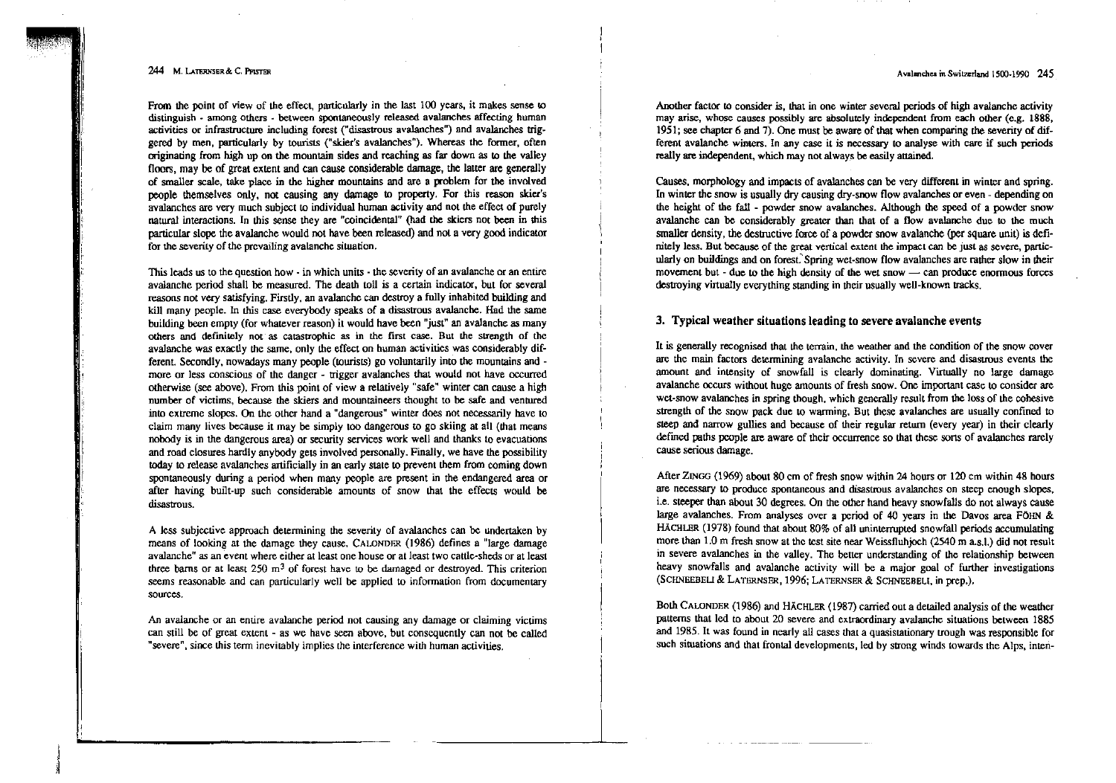#### Avalanches in Switzerland 1500-1990 245

#### 244 M. LATERNSER & C. PFISTER

.

From the point of view of the effect, particularly in the last 100 years, it makes sense to distinguish - among others . between spontaneously released avalanches affecting human activities or infrastructure including torest ("disastrous avalanches") and avalanches triggered by men, particularly by tourists ("skier's avalanches"). Whereas the former, often originating from high up on the mountain sides and reaching as far down as to the valley floors, may be of great extent and can cause considerable damage, the latter are generally of smaller scale, take place in the higher mountains and are a problem for the involved people themselves only, not causing any damage to property. For this reason skier's avalanchcs are very much subject 10 individual human activity and not the effect of purely natural interactions. In this seme they are "coincidemal" (had the stiers not been in this particular slope the avalanche would not have been released) and not. a very good indicator for the severity of the prcvailing avalanche situation.

This leads us to the question how - in which units - the severity of an avalanche or an entire avalanche period shall be measured. The death toll is a certain indicator, but for several reasons not very satisfying. Firstly, an avalanche can destroy a fully inhabited building and kill many people. In this case everybody speaks of a disastrous avalanche. Had the same building been empty (for whatever reason) it would have been "just" an avalanche as many others and definitely not' as catastrophic as in lhe first case. But the strength of the avalanche was exactly thc same, only the effect on human activities was considerably different. Secondly, nowadays many people (tourists) go voluntarily into the mountains andmore or less conscious of the danger - trigger avalanches that would not have occurred otherwise (see above). From this point of view a relatively "safe" winter can cause a high number of victims, because the skiers and mountaineers thought to be safe and ventured into extreme slopes. On the other hand a "dangerous" winter does not necessarily have to claim many lives because it may be simply too dangerous to go skiing at all (that means nobody is in the dangerous area) or security services work well and thanks to evacuations and road closures hardly anybody gets involved personally. Finally, we have lhe possibility today 10 release avalanches artificially in an early state 10 prevent them from coming down spontaneously during a period when many people are present in the endangered area or after having built-up such considerable amounts of snow that the effects would be disastrous.

A less subjective approach detennining the severity of avalanches can be undertaken by means of looking at the damage they cause. CALONDER (1986) defines a "Iarge damage avalanche" as an evem where either at least one house or at least two cattle-sheds or at least three barns or at least 250  $m<sup>3</sup>$  of forest have to be damaged or destroyed. This criterion seems reasonable and can particularly weil be applied to infonnation from documentary sources.

An avalanche or an entire avalanche period not causing any damage or claiming victims can still be of great extent - as we have seen above, but consequently can not be called "severe", since this term inevitably implies the interference with human activities.

Another factor to consider is, that in one winter several periods of high avalanche activity may arise, whose causes possibly are absolutely independent from each other (e.g. 1888, 1951; see chapter 6 and 7). One must be aware of that when comparing the severity of different avalanche winters. In any case it is necessary to analyse with care if such periods really are independent, which may not always be easily attained.

causes, morphology and impacts of avaIanches can be very different in winter and spring. In winter the snow is usually dry causing dry-snow flow avalanches or even - depending on the height of the fall  $\sim$  powder snow avalanches. Although the speed of a powder snow avalanche can be considerably greater than that of a flow avalanche due to the much smaller density, the destructive force of a powder snow avalanche (per square unit) is definitely less. But because of the great vertical extent the impact can be just as severe, particularly on buildings and on forest. Spring wet-snow flow avalanches are rather slow in their movement but - due to the high density of the wet snow - can produce enormous forces destroying virtually everything standing in their usually well-known tracks.

## 3. Typical weather situations leading to severe avalanche events

It is generally recognised that the terrain, the weather and the condition of the snow cover are the main factors determining avalanche activity. In severe and disastrous events the amount and inlensity of snowfal1 is clearly dominating. Virtually no large damage avalanche occurs without huge amounts of fresh snow. One important case to consider are wet-snow avalanches in spring though, which generally result from the loss of the cohesive strength of the snow pack due to warming. But these avalanches are usually confined 10 steep and narrow gullies and because of their regular return (every year) in their clearly defined paths people are aware of their occurrence so that these sorts of avalanches rarely cause serious damage.

After ZINGG (1969) about 80 cm of fresh snow within 24 hours or 120 cm within 48 hours are necessary La produce spontaneous and disastrous avalanches on steep enough slopes, i.e. steeper than about 30 degrees. On the other hand heavy snowfalls do not always cause large avalanches. From analyses over a pcriod of 40 years in the Davos area FÖHN & HÄCHLER (1978) found that about 80% of all uninterrupted snowfall periods accumulating more than 1.0 m fresh snow at the test site near Weissfluhjoch (2540 m as.l.) did not result in severe avalanches in the valley. The better understanding of the relationship between heavy snowfalls and avalanche activity will be a major goal of further investigations (SCHNEEBEU & LATERNSFR, 1996; LATERNSER & SCHNEEBELI, in prep.).

Both CALONDER (1986) and HÄCHLER (1987) carried out a detailed analysis of the weather patterns that led to about 20 severe and extraordinary avalanche situations between 1885 and 1985. It was found in nearly all cases that a quasistationary trough was responsible for such situations and that frontal developments, led by strong winds towards the Alps, inten-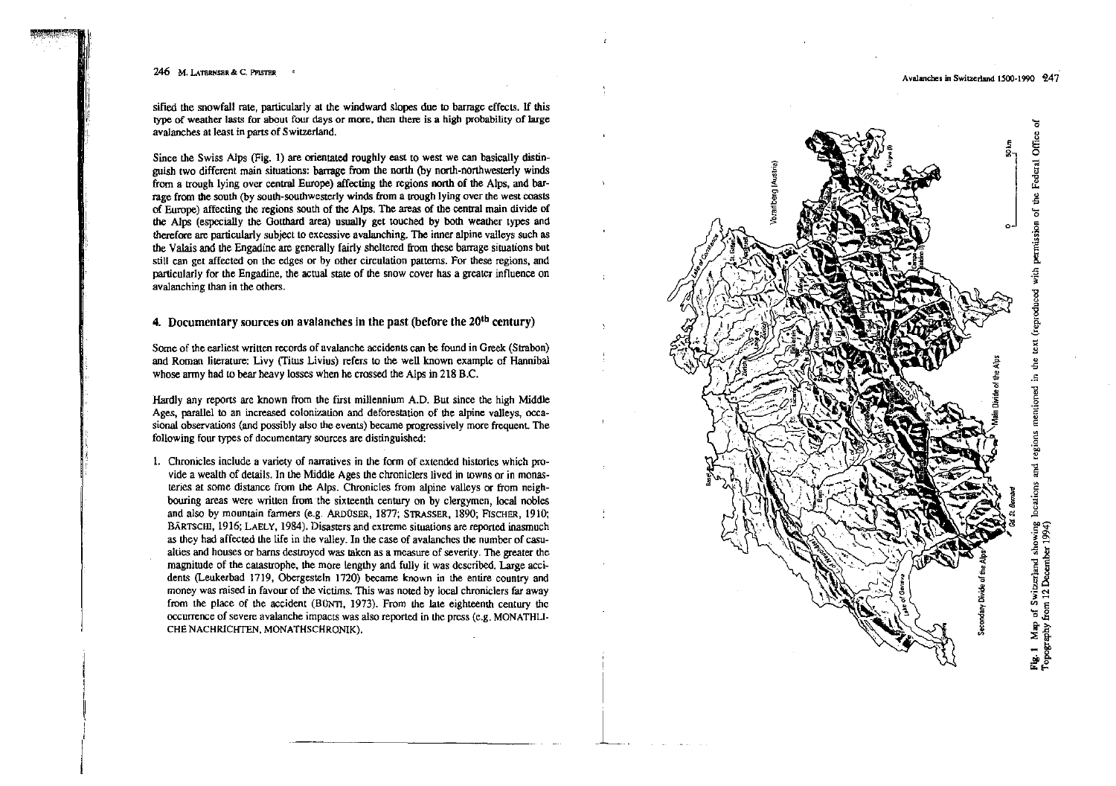II

*i*

sified the snowfall rate, particularly at the windward slopes due to barrage effects. If this type of weather lasts for about four days or more, then there i8 a high probability of large avalanches at least in parts of Switzerland.

Since lhe Swiss Alps (Fig. 1) are orientated roughly east 10 west we can basically distinguish two different main situations: barrage from the north (by north-northwesterly winds from a trough lying over central Europe) affecting the regions north of the Alps, and barrage from the south (by south-southwesterly winds from a trough lying over the west coasts of Europe) affecting the regions south of the Alps. The areas of the central main divide of the Alps (especially the Gotthard area) usually get touched by both weather types and therefore are particularly subject to excessive avalanching. The inner alpine valleys such as the Valais and the Engadine are generally fairly sheltered from these barrage situations but still can get affected on the edges or by other circulation patterns. For these regions, and particularly for the Engadine. the actual state of the snow cover has a grealer influence on avalanching than in the others.

# 4. Documentary sources on avalanches in the past (before the  $20<sup>th</sup>$  century)

Some of the earliest written records of avalanche accidents can be found in Greek (Strabon) and Roman literature: Livy (Titus Livius) refers to the well known example of Hannibal whose army had to bear heavy losses when he crossed the Alps in 218 B.C.

Hardly any reports are known from the first millennium A.D. But since the high Middle Ages, parallel to an increased colonization and deforestation of the alpine valleys, occasional observations (and possibly also the events) became progressively more frequent. The following four types of documentary sources are distinguished:

1. Chronicles include a variety of narratives in the form of extended histories which pro vide a wealth of details. In the Middle Ages the chroniclers lived in towns or in monasteries at same distance from the Alps. Chronicles from alpine valleys er from neighbouring areas were written from the sixteenth century on by clergymen, local nobles and also by mountain fanners (e.g. AADüSER, 1877; STRASSER. 1890; FISCHER, 1910; BÄRTSCHI, 1916; LAELY. 1984). Disasters and extreme situations are reported inasmuch as they had affected the life in the valley. In the case of avalanches the number of casualties and houses or barns desuoycd was raken as a measure of severity. The greater the magnitude of the catastrophe, the more lengthy and fully it was described. Large accidents (Leukerbad 1719, Obergesteln 1720) became known in the entire country and money was raised in favour of the victims. This was noted by local chroniclers far away from the place of the accident  $(B\text{UNTI}, 1973)$ . From the late eighteenth century the  $occurrence of severe avalanche impacts was also reported in the press (e.g., MONATHLI- $W$ )$ CHE NACHRICHTEN, MONATHSCHRONIK).



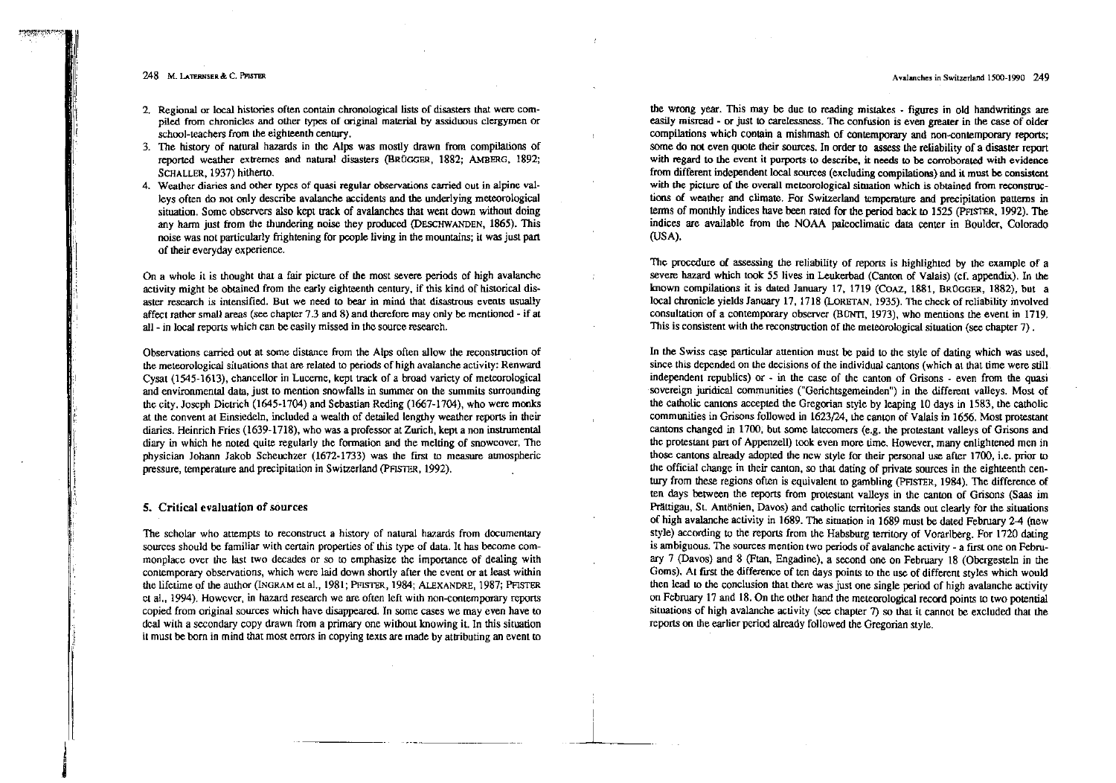- 2. Regional or local histories often contain chronological lists of disasters that were compiled from chronicles and other types cf original material by assiduous clergymen or school-teachers from the eighteenth century.
- 3. The history of natural hazards in the Alps was mostly drawn from compilations of reported weather extremes and natural disasters (BRÜGGER, 1882; AMBERG, 1892; SCHALLER, 1937) hitherto.
- 4. Weather diaries and other types cf quasi regular observations carried out in alpine valleys often do not only describe avalanche accidents and the underlying meteorological situation. Some observers also kept track of avalanches that went down without doing any harm just from the thundering noise they produced (DESCHWANDEN, 1865). This noise was not particularly frightening for people living in the mountains; il was just part of their everyday experience.

On a whole it is thought that a fair picture of the most severe periods of high avalanche activity might be obtained from the early eighteenth century, if this kind of historical disaster research is intensified. But we need to bear in mind that disastrous events usually affect rathcr smalJ areas (see chapter 7.3 and 8) and therefore rnay onIy be mentioned • if at all· in local reports which can bc casily missed in thc source research.

Observations carried out at some distance from the Alps often allow the reconstruction of the meteorological situations that are related to periods of high avalanche activity: Renward Cysat (1545·1613), chancellor in Luceme, kept traek of a broad variety of meteorological and environmental data, just to mention snowfalls in summer on the summits surrounding the city. Joscph Dietrich (1645·1704) and Sebastian Reding (1667~1704), who were monks at the convent al Einsiedeln, included a wealth of detailed lengthy weather repons in their diaries. Heinrich Fries (1639-1718), who was a professor at Zurich, kept a non instrumental diary in which he noted quite regularly the formalion and the meleng of snowcovcr. The physician Johann Jakob Scheuchzer (1672~1733) was the first 10 measure aunospherie pressure, temperalure and precipitation in Switzerland (PFISTER, 1992).

# 5. Critical evaluation of sources

j<br>Maria Baratona<br>Maria Baratona

The scholar who attempts to reconstruct a history of natural hazards from documentary sources should be familiar with certain properties of this type of data. It has become commonplace over the last two decades or so to emphasize the importance of dealing with eontemporary observations, which were laid down shortly after the event or at least within the lifetime of the author (lNGRAM et a1., 1981; PFISTER, 1984; ALEXANDRE, 1987; PFIsTER ct al., 1994). However, in hazard research we are often left with non-contemporary reports copied from original sources which have disappeared. In some cases we may even have to dcal with a secondary copy drawn from a primary one without knowing it. In this situation it must be born in mind that most errors in copying texts are made by attributing an event to

the wrong year. This rnay be duc to reading mistakes figures in old handwritings are easily misread - or just to carelessness. The confusion is even greater in the case of older compilations which contain a mishmash of conternporary and non~contemporary reports; some do not even quote their sources. In order to assess the reliability of a disaster report with regard to the event it purports-to describe, it needs to be corroborated with evidence from different independent local sources (excluding compilations) and il must be consistent with the picture of the overall meteorological situation which is obtained from reconstructions of weather and climate. For Switzerland temperature and precipitation patterns in terms of monthly indices have been rated for the period back to 1525 (PFISTER, 1992). The indices are available from the NOAA paleoclimatic data center in Boulder, Colorado (USA).

The proccdure of assessing the reliability of reports is highlighted by the example of a severe hazard which took 55 lives in Leukerbad (Canton of Valais) (cf. appendix). In the lrnown compilations it is dated January 17, 1719 (COAZ, 1881, BROGGER, 1882), but a loca1 chronicle yields January 17, 1718 (LoRETAN, 1935). The check of reliability involved consultation of a contemporary observer (BUNTI, 1973), who mentions the event in 1719. This is consistent with the reconstruction of the meteorological situation (see chapter 7).

In the Swiss case particular attemion must be paid to the style of dating which was used, since this depended on the decisions of the individual eantons (which at that time were still independent republics) or  $\cdot$  in the case of the canton of Grisons  $\cdot$  even from the quasi sovereign juridical communities ("Gerichtsgemeinden") in the different valleys. Most of the catholic cantons accepted the Gregorian style by leaping 10 days in 1583, the catholic communities in Grisons followed in 1623/24, the canton of Valais in 1656. Most protestant cantons changed in 1700; but some latecomers (e.g. the protestant vaileys of Grisons and the protestant part of Appenzell) took even more time. However, many enlightened men in those cantons already aclopted the ncw style for their personal use after 1700, i.e. prior to the official change in their canton, so that dating of private sources in the eighteenth century from these regions often is equivalent to gambling (PFISTER, 1984). The difference of ten days between the reports trom protestant valleys in the canton of Grisons (Saas im Prättigau, St. Antönien, Davos) and catholic territories stands out clearly for the situations of high avalanche activity in 1689. Tne situation in 1689 must be dated February 2-4 (new style) according to thc reports from the Habsburg territory of Vorarlberg. For 1720 dating is ambiguous. The sources mention two periods of avalanche activity . a first one on Febru· ary 7 (Davos) and 8 (Ftan, Engadine), a second one on February 18 (Obergesteln in the Goms). At first the difference of ten days points to the use of different styles which would then lead 10 the eonclusion that there was just one single period of high avalanche activity on February 17 and 18. On the other hand the meteorological record points to two potential situations of high avalanche activity (see chapter 7) so that it cannot be excluded that the reports on the earlier periad already followed the Gregorian style.

-~'------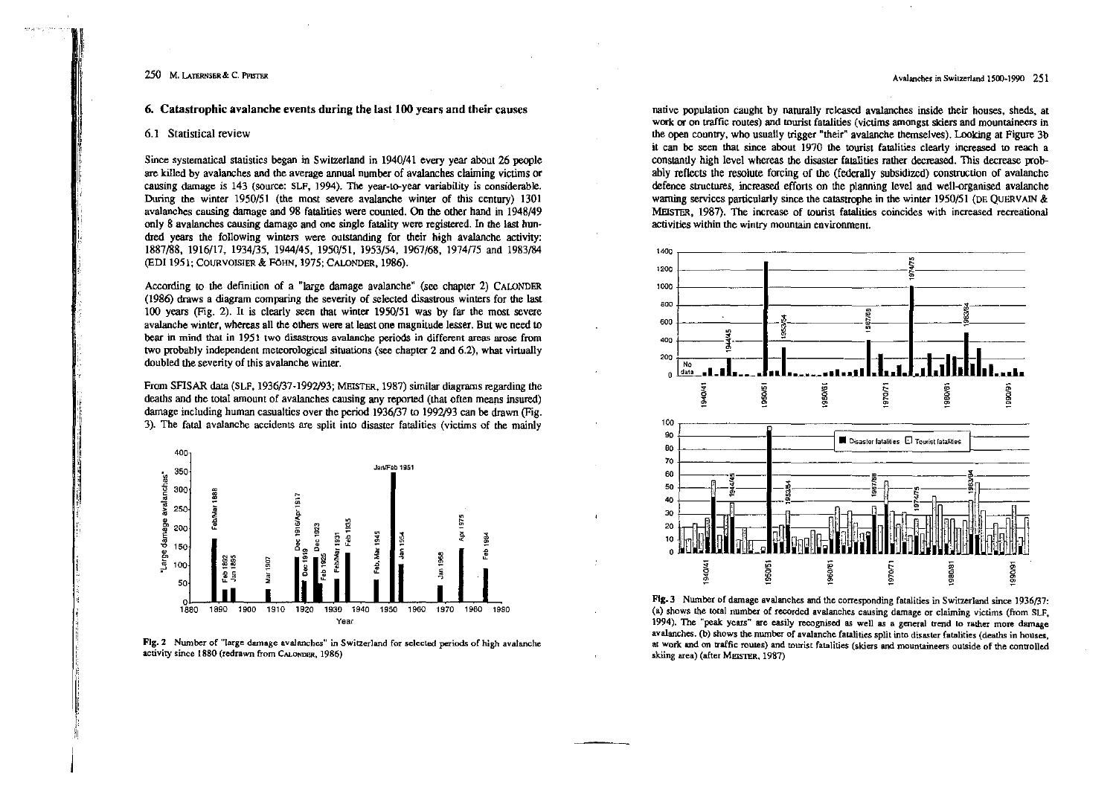6. Catastrophic avalanche events during the last 100 years and their causes

#### 6.1 Statistical review

Since systematical statistics began in Switzerland in 1940/41 every year about 26 people are killed by avalanches and the average annual number of avalanches claiming victims or causing damage is 143 (source: SLF, 1994). The year-to-year variability is considerable. During the winter 1950/51 (the most severe avalanche winter of this century) 1301 avalanches causing damage and 98 fatalities were counted. On the other hand in 1948/49 only 8 avalanches causing damage and one single fatality were registered. In the last hundred years the following winters were outstanding for their high avalanche activity: 1887/88, 1916/17, 1934/35, 1944/45, 1950/51, 1953/54, 1967/68, 1974/75 and 1983/84 (EDI 1951; COURVOISIER & FÖHN, 1975; CALONDER, 1986).

According to the definition of a "large damage avalanche" (see chapter 2) CALONDER (1986) draws a diagram comparing the severity of selected disastrous winters for the last 100 years (Fig. 2). It is clearly seen that winter 1950/51 was by far the most severe avalanche winter, whereas all the others were at least one magnitude lesser. But we need to bear in mind that in 1951 two disastrous avalanche periods in different areas arose from two probably independent meteorological situations (see chapter 2 and 6.2), what virtually doubled the severity of this avalanche winter.

From SFISAR data (SLF, 1936/37-1992/93; MEISTER, 1987) similar diagrams regarding the deaths and the total amount of avalanches causing any reported (that often means insured) damage including human casualties over the period 1936/37 to 1992/93 can be drawn (Fig. 3). The fatal avalanche accidents are split into disaster fatalities (victims of the mainly





native population caught by naturally released avalanches inside their houses, sheds, at work or on traffic routes) and tourist fatalities (victims amongst skiers and mountaineers in the open country, who usually trigger "their" avalanche themselves). Looking at Figure 3b it can be seen that since about 1970 the tourist fatalities clearly increased to reach a constantly high level whereas the disaster fatalities rather decreased. This decrease probably reflects the resolute forcing of the (federally subsidized) construction of avalanche defence structures, increased efforts on the planning level and well-organised avalanche warning services particularly since the catastrophe in the winter 1950/51 (DE QUERVAIN  $\&$ MEISTER, 1987). The increase of tourist fatalities coincides with increased recreational activities within the wintry mountain environment.



Fig. 3 Number of damage avalanches and the corresponding fatalities in Switzerland since 1936/37: (a) shows the total number of recorded avalanches causing damage or claiming victims (from SLF. 1994). The "peak years" are easily recognised as well as a general trend to rather more damage avalanches. (b) shows the number of avalanche fatalities split into disaster fatalities (deaths in houses, at work and on traffic routes) and tourist fatalities (skiers and mountaineers outside of the controlled skiing area) (after MEISTER, 1987)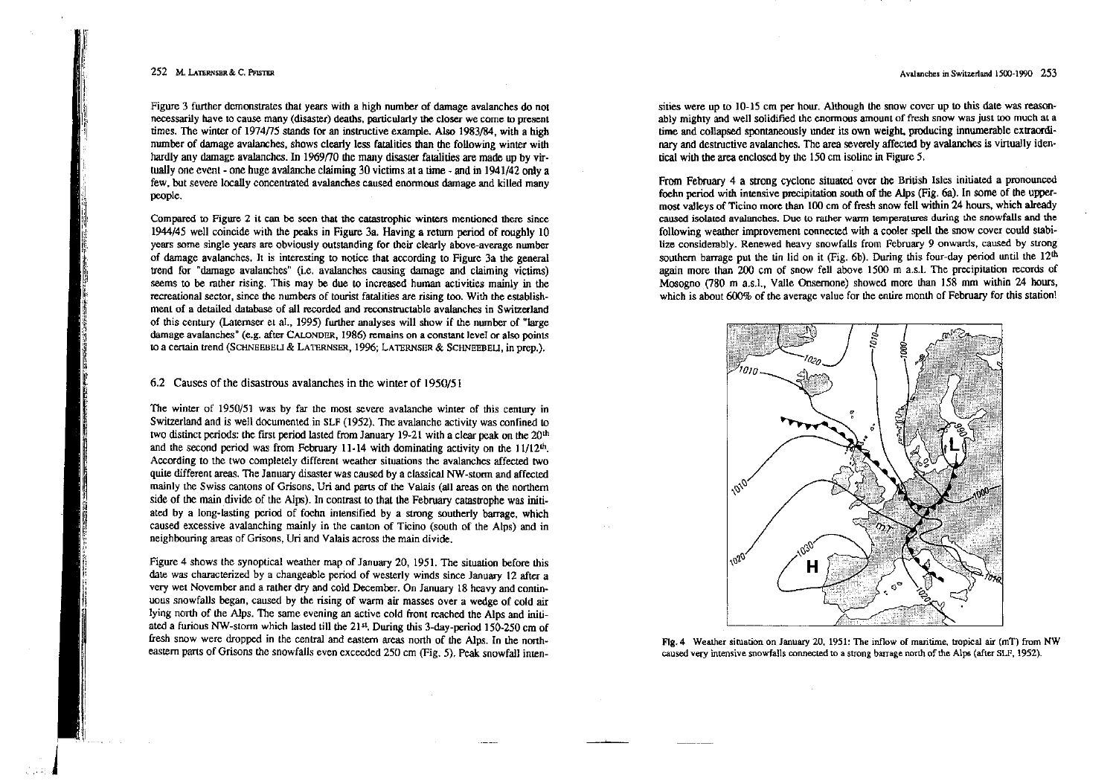I 'I1 'I

Figure 3 further demonstrates that years with a high number of damage avalanches do not necessarily have to cause many (disaster) deaths, particularly the closer we come to present times. The winter of 1974/75 stands for an instructive example. Also 1983/84, with a high number of damage avalanches, shows clearly less fatalitics than the following winter with hardly any damage avalanches. In 1969/70 the many disaster fatalities are made up by virtually one event - one huge avalanche claiming 30 victims, at a time - and in 1941/42 only a few, but severe locally concentrated avalanches caused enormous damage and killed many people.

Compared 10 Figwe 2 it can be seen that tbe catastrophic wimers mentioned there since 1944/45 weil coincide with the peaks in Figwe 3a, Having areturn period of roughly 10 years some single years are obviously outstanding for their clearly above-average number of damage avalanches, It is interesting 10 notice that according to Figure 3a the general trend for "damage avalanches" (i.e. avalanches causing damage and claiming victims) seems to be rather rising. This may be due to increased human activities mainly in the recreational sector, since the nwnbers of tourist fatalities are rising 100. With the establishment of a detailed database of all recorded and reconstructable avalanches in Switzerland of this century (Latemser et a1., 1995) further analyses will show if the number of "large damage avalanches" (e.g. after CALONDER, 1986) remains on a constant level or also points 10 a ceclain lrend (SCHNEEBELJ & LATERNSER, 1996; LATERNSER & SCHNEEBEU, in prep.),

## 6.2 Causes of the disastrous avalanches in the winter of 1950/51

The winter of 1950/51 was by far the most severe avalanche winter of this century in Switzerland and is weIl documented.in SLF (1952). The avalanche activity was confined 10 two distinct periods: the first period lasted from January 19-21 with a clear peak on the 20<sup>th</sup> and the second period was from February 11-14 with dominating activity on the 11/12<sup>th</sup>. According to the two completely different weather situations the avalanches affected two quite different areas. The January disaster was caused by a classical NW-storm and affected mainly the Swiss cantons of Grisons, Uri and parts of lhe Valais (all areas on the northem side of the main divide of the Alps). In contrast to that the February catastrophe was initiated by a long-lasting pcriod of foehn intensified by a strong southerly barrage, which caused excessive avalanching mainly in the canton of Ticino (south of the Alps) and in neighbouring areas of Grisons, Uri and Valais across the main divide.

Figure 4 shows the synoptical weather map of January 20, 1951. The situation before this date was characterized by a changeable period of westerly winds since January 12 after a very wet November and a rather dry and cold December, On January 18 hcavy and continuous snowfaUs began. caused *by* the rising of warm air masses over a wedge of cold air Iying north of the Alps. The same evening an active cold front rcached the Alps and initiated a furious NW-stonn which lasted till the 21 st. Duting this 3-day-period 150·250 cm of fresh snow were dropped in the central and eastern areas north of the Alps. In the northeastem pans of Grisons the snowfalls even exceeded 250 cm (Fig. 5), Peak snowfaIl intensities were up to  $10-15$  cm per hour. Although the snow cover up to this date was reasonably mighty and well solidified the enormous amount of fresh snow was just too much at a time and collapsed spontaneously under its own weight, producing innumerable extraordinary and destructive avalanches. The area severely affected by avalanches is virtually identical with the area enclosed by the  $150 \text{ cm}$  isoline in Figure 5.

From February 4 a strong eyelone situated over the British Isles initiated a pronounced foehn period with intensive precipitation south of the Alps (Fig, 6a). In some of the uppermost vaJleys of Ticino more than 100 cm of fresh snow fell within 24 hours, which aIready caused isolated avalanches. Duc to rather wann temperatures during thc snowfalls and the following weather improvement connected with a cooler spell the snow cover could stabilize considerably. Renewed heavy snowfalls from February 9 onwards, caused by strong southern barrage put the tin lid on it (Fig. 6b). During this four-day period until the  $12<sup>th</sup>$ again more than 200 cm of snow fell above 1500 m a.s.!. The precipitalion records of Mosogno (780 m a.s.l., Valle Onsernone) showed more than 158 mm within 24 hours, which is about  $600\%$  of the average value for the entire month of February for this station!



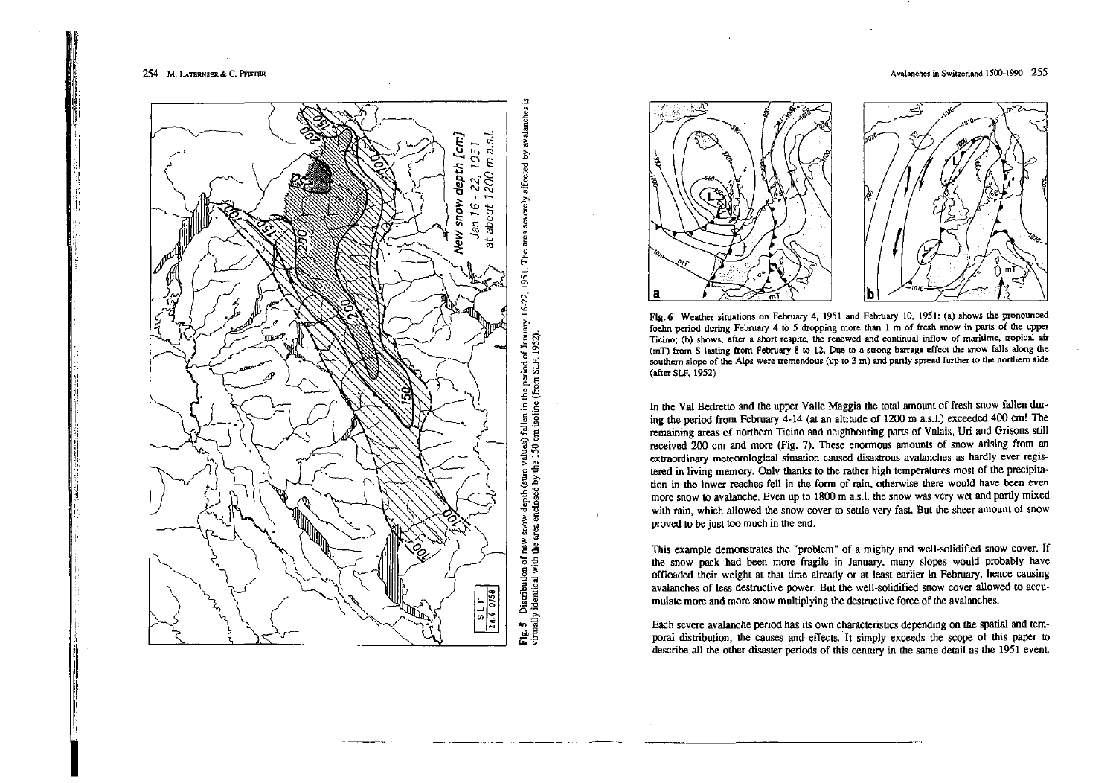i.







Flg.6 Weather situations on February 4,1951 and February 10. 1951: (a) shows the pronounced foehn period during February 4 10 5 dropping more than I m of fresh snow in parts of the upper Ticino; (b) shows, after a short respite, the renewed and continual inflow of maritime, tropical air  $(mT)$  from S lasting from February 8 to 12. Due to a strong barrage effect the snow falls along the southern slope of the Alps were tremendous (up to 3 m) and partly spread further to the northern side (after SLF, 1952)

In the Val Bedretto and lhe upper Valle Maggia the total amount cf fresh snow fallen dur· ing the period from Fcbruary 4·14 (at an altitude of 1200 m 3.S.1.) exceeded 400 cm! The remaining areas of northem Ticino and neighbouring parts of Valais, Uri and Grisons still received 200 cm and more (Fig. 7). These enormous amounts of snow arising from an extraordinary meteorological situation caused disastrous avalanches as hardly ever registered in living memory. Only thanks to the rather high temperatures most of the precipitation in the lower reaches fell in the form of rain, otherwise there would have been even more snow to avalanche. Even up to 1800 m a.s.1. the snow was very wet and partly mixed with rain, which allowed the snow cover to settle very fast. But the sheer amount of snow proved 10 be just 100 much in the end.

This example demonstrates the "problem" of a mighty and well-solidified snow cover. If the snow pack had been more fragile in January, many slopes would probably have offloaded their weight at that time already or at least earlier in February, hence causing avalanches of less destructive power. But the well-solidified snow cover allowed to accumulate more and more snow multiplying the destruetive force of the avalanehes.

Each scvere avalanche period has its own characteristics depending on the spatial and tem~ pora! distribution, the causes and effects. It simply exceeds the scope of this paper to describe aIl the other disaster periads of this century in the same detail as the 1951 event.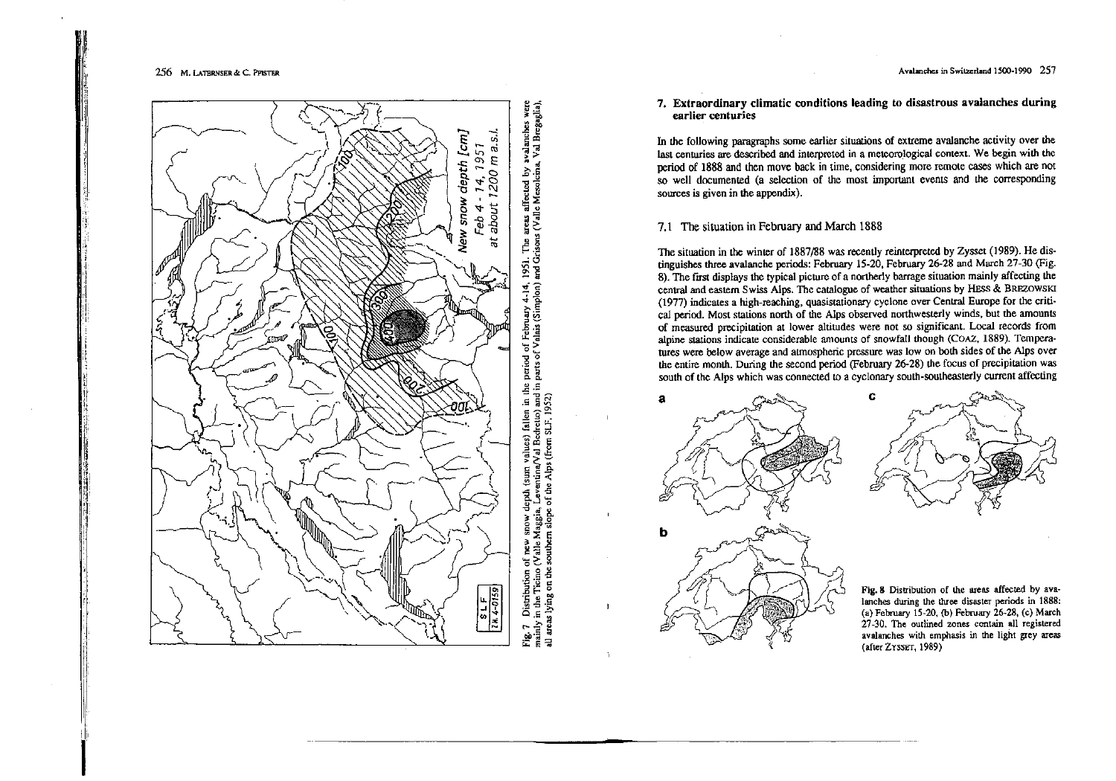I,

 $\frac{1}{2}$ 

i

!I '11,i

li "li, j! r:

ii: n,

:. ,I '! ,! il: 'i'



7. Extraordinary climatic conditions leading to disastrous avalanches during earlier centuries

In the following paragraphs some earlier situations of extreme avalanche activity over the last centuries are described and interpreted in a mcteorological context. We begin with the period of 1888 and then move back in time, considering more remote cases which are not so well documented (a selection of the most important events and the corresponding sources is given in the appendix).

# 7.1 The situation in February and March 1888

The situation in the winter of 1887/88 was recently reinterpreted by Zysset (1989). He distinguishes three avalanche periods: February 15-20. February 26·28 and March 27-30 (Fig. 8). The first displays the typical picture of a northerly barrage situation mainly affecting the central and eastem Swiss Alps. Thc eatalogue of weather situations by HEss & BRFZOWSKI (1977) indicates a high-reaching, quasistationary eyclone over Central Europe for the eriti· cal period. Most stations north of the Alps observed northwesterly winds, but the amounts of measured precipitation at lower altitudes were not so significant. Local records from alpine stations indicate considerable amaunts of snowfaIl though (COAZ, 1889). Temperatures were below average and atmospheric pressure was low on both sides of the Alps over the entire month. During the second period (February 26-28) the focus of precipitation was south of the Alps which was connected to a cyclonary south-southeasterly current affecling

c



Fig. 8 Distribution of the areas affected by avalanches during the three disaster periods in 1888: (a) February 15-20. (b) February 26·28. (c) March 27-30. The outlined zones contain all registered avaIanches with emphasis in the light grey areas (after ZYSSET, 1989)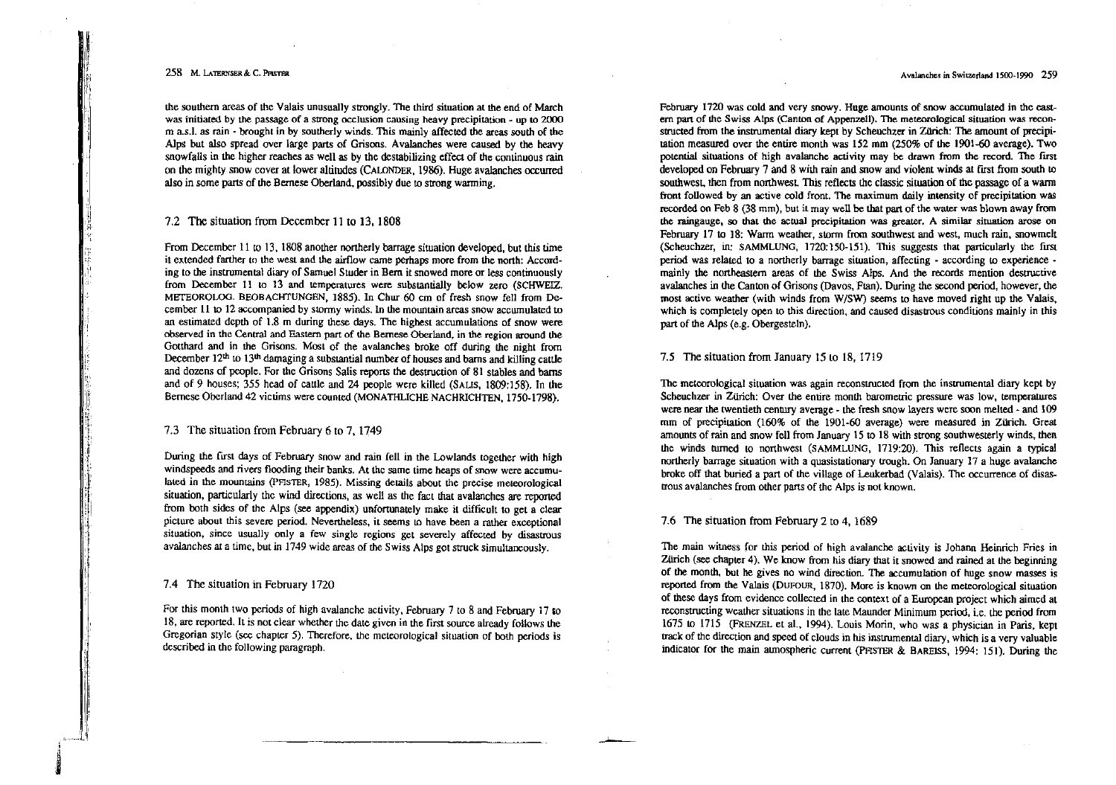I: 'I

11

I I

the southern areas of the Valais unusually strongly. The lhird situation at the end of March was initiated by the passage of a strong occlusion causing heavy precipitation  $\overline{\phantom{a}}$  up to 2000 m a.s.l. as rain - brought in by southerly winds. This mainly affected the areas south of the Alps but also spread over large parts of Grisons. AvaIanches were caused by the heavy snowfalls in the higher reaches as well as by the destabilizing effect of the continuous rain on the mighty snow cover at tower altitudes (CALONDER, 1986). Huge avalanches occwred also in some parts of the Bernese Oberland, possibly due to strong warming,

# 7.2 The situation from December 11 to 13, 1808

From December 11 to 13, 1808 another northerly barrage situation developed, but this time it extended farther to the west and the airflow came perhaps more from the north: According to the instrumental diary of Samuei Studer in Rem it snowed more or less continuously from December 11 to 13 and temperatures were substantially below zero (SCHWEIZ. METEOROLQG. BEOBACHTUNGEN, 1885). In Chur 60 cm of fresh snow fell from December 11 to 12 accompanied by stormy winds. In the mountain arcas snow accumulated to an estimated depth of 1.8 m during these days. The highest accumulations of snow were observed in the Central and Eastern part of the Bemese Oberland. in the region around the Gotthard and in the Grisons. MOSl of the avalanehes broke off during the night from December 12<sup>th</sup> to 13<sup>th</sup> damaging a substantial number of houses and barns and killing cattle and dozens of people. For the Grisons Salis repons the destruction of 81 stables and bams and of 9 houses; 355 head of cattle and 24 people were killed (SALIS, 1809:158). In the Bemesc Oberland 42 victims were counted (MONATHUCHE NACHRICHTEN, 1750-1798).

## 7.3 The situation from February 6 to 7, 1749

During the first days of February Snow and rain fell in the Lowlands together with high windspeeds and rivers flooding their banks. At the same time heaps of snow were accumulated in the mountains (PFISTER, 1985). Missing details about the precise meteorological situation, particularly the wind directions, as well as the fact that avalanches are reported from both sides of the Alps (see appendix) unfortunately make it difficult to get a clear picture about this severe period. Nevertheless, it seems to have been a rather exceptional situation, since usually only a fcw single regions get severely affected by disastrous avalanches at a time. but in 1749 wide areas of the Swiss Alps got struck simultaneously.

## 7.4 Thc situation in February 1720

For this month two pcriods of high avalanche activity. February 7 to 8 and February 17 ro 18, are reported. It is not clear whether the date given in the first source already follows the Gregorian style (see chapter 5). Therefore, the meteorological situation of both periods is described in thc following paragraph.

#### Avalanches in Swiuedand 1500-1990 259

February 1720 was cold and very snowy, Huge amounts of snow accumulated in thc castem pan of the Swiss Alps (Canton of Appenzell). The meteorological situation was reconstructed from the instrumental diary kept by Scheuchzer in Zürich: The amount of precipitalion measured aver the entire rnonth was 152 mm (250% of the 1901-60 average). Two potential situations of high avalanche activity may be drawn from the record. The first developed on February 7 and 8 with rain and snow and violent winds at first from south to southwest. then from nonhwest This reflects the classic situation of the passage of a wann front followed by an active cold front. The maximum daily intensity of precipitation was recorded on Feb 8 (38 mrn), but it may weil be that part of the water was blown away from the raingauge, so that the aetual precipitation was greater. A similar situation arose on February 17 to 18: Warm weather, storm from southwest and west, much rain, snowmelt (Scheuchzer, in: SAMMLUNG, 1720:150·151). This suggests that particularly the fIrst period was related to a northerly barrage situation, affecting - according to experience mainly the northeastern areas of the Swiss Alps. And the records mention destructive avalanehes in the Canton of Grisons (Davos, Flan). Duting the seoond periad, however, the most active weather (with winds from W/SW) seems to have moved right up the Valais, which is completely open to this direction, and caused disastrous conditions mainly in this part of the Alps (e.g. Obergestein).

## 7.5 The situation from January 15 to 18, 1719

The metcorological situation was again reconstructed from the instrumental diary kept by Scheuchzer in Zürich: Over the entire month barometric pressure was low, temperatures were near the twentieth century average - the fresh snow layers were soon melted - and 109 mm of precipitation (160% of the 1901-60 average) were measured in Zürich. Great amounts of rain and snow fell from January 15 to 18 with strong southwesterly winds, then the winds turned to northwest (SAMMLUNG, 1719:20). This reflects again a typical northerly barrage situation with a quasistationary trough. On January 17 a huge avalanche broke off that buried a part of the village of Leukerbad (Valais). The occurrence of disastrous avalanches from other parts of the Alps is not known.

## 7.6 The situation from February 2 to 4, 1689

The main witness for this period of high avalanche activity is Johann Heinrich Fries in Zürich (see chapter 4). We know from his diary that it snowed and rained at the beginning of the month, but he gives no wind direction. The accumulation of huge snow masses is reported from the Valais (DUFOUR, 1870). More is known on the meteorologicaJ situation of these days from evidenee collected in lhe context of a European project whieh aimed at reconstructing weather situations in the late Maunder Minimum period, i.e. the period from 1675 to 1715 (FRENZEL et al., 1994). Louis Morin, who was a physician in Paris, kept track of the direction and speed of clouds in his instrumental diary, which is a very valuable indicator for the main atmospheric current (PFISTER & BAREISS, 1994: 151). During the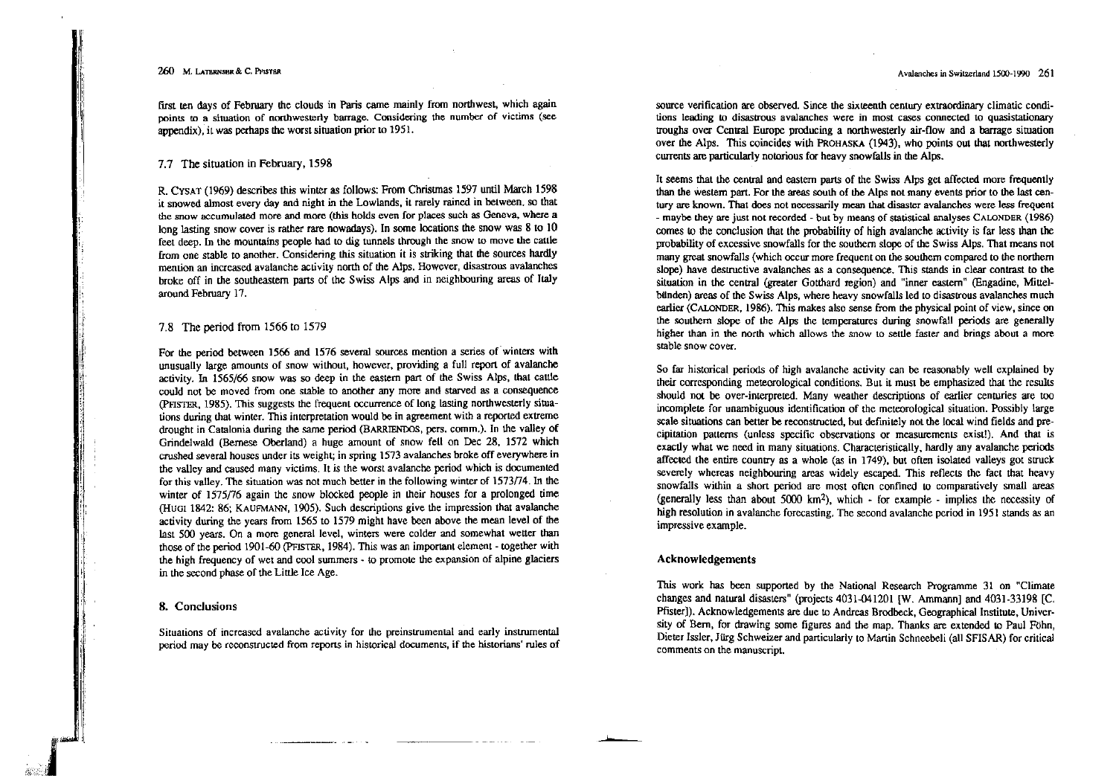first ten days of February the clouds in Paris came mainly from northwest, which again points to a situation of northwesterly barrage. Considering the number of victims (see appendix), it was perhaps the worst situation prior to 1951.

## 7.7 The situation in February, 1598

R. CYSAT (1969) describes this winter as follows: From Christmas 1597 until March 1598 it snowed almost every day and night in the Lowlands, it rarely rained in between, so that the snow accumulated more and more (this holds even for places such as Geneva, where a long lasting snow cover is rather rare nowadays). In some locations the snow was 8 to 10 feet deep. In the mountains people had to dig tunnels through the snow to move the cattle from one stable to another. Considering this situation it is striking that the sources hardly mention an increased avalanche activity north of the Alps. However, disastrous avalanches broke off in the southeastern parts of the Swiss Alps and in neighbouring areas of Italy around February 17.

# 7.8 The period from 1566 to 1579

For the period between 1566 and 1576 several sources mention a series of winters with unusually large amounts of snow without, however, providing a full report of avalanche activity. In 1565/66 snow was so deep in the eastern part of the Swiss Alps, that cattle could not be moved from one stable to another any more and starved as a consequence (PFISTER, 1985). This suggests the frequent occurrence of long lasting northwesterly situations during that winter. This interpretation would be in agreement with a reported extreme drought in Catalonia during the same period (BARRIENDOS, pers. comm.). In the valley of Grindelwald (Bernese Oberland) a huge amount of snow fell on Dec 28, 1572 which crushed several houses under its weight; in spring 1573 avalanches broke off everywhere in the valley and caused many victims. It is the worst avalanche period which is documented for this valley. The situation was not much better in the following winter of 1573/74. In the winter of 1575/76 again the snow blocked people in their houses for a prolonged time (HUGI 1842: 86; KAUFMANN, 1905). Such descriptions give the impression that avalanche activity during the years from 1565 to 1579 might have been above the mean level of the last 500 years. On a more general level, winters were colder and somewhat wetter than those of the period 1901-60 (PFISTER, 1984). This was an important element - together with the high frequency of wet and cool summers - to promote the expansion of alpine glaciers in the second phase of the Little Ice Age.

## 8. Conclusions

Situations of increased avalanche activity for the preinstrumental and early instrumental period may be reconstructed from reports in historical documents, if the historians' rules of source verification are observed. Since the sixteenth century extraordinary climatic conditions leading to disastrous avalanches were in most cases connected to quasistationary troughs over Central Europe producing a northwesterly air-flow and a barrage situation over the Alps. This coincides with PROHASKA (1943), who points out that northwesterly currents are particularly notorious for heavy snowfalls in the Alps.

It seems that the central and eastern parts of the Swiss Alps get affected more frequently than the western part. For the areas south of the Alps not many events prior to the last century are known. That does not necessarily mean that disaster avalanches were less frequent - maybe they are just not recorded - but by means of statistical analyses CALONDER (1986) comes to the conclusion that the probability of high avalanche activity is far less than the probability of excessive snowfalls for the southern slope of the Swiss Alps. That means not many great snowfalls (which occur more frequent on the southern compared to the northern slope) have destructive avalanches as a consequence. This stands in clear contrast to the situation in the central (greater Gotthard region) and "inner eastern" (Engadine, Mittelbunden) areas of the Swiss Alps, where heavy snowfalls led to disastrous avalanches much earlier (CALONDER, 1986). This makes also sense from the physical point of view, since on the southern slope of the Alps the temperatures during snowfall periods are generally higher than in the north which allows the snow to settle faster and brings about a more stable snow cover.

So far historical periods of high avalanche activity can be reasonably well explained by their corresponding meteorological conditions. But it must be emphasized that the results should not be over-interpreted. Many weather descriptions of earlier centuries are too incomplete for unambiguous identification of the meteorological situation. Possibly large scale situations can better be reconstructed, but definitely not the local wind fields and precipitation patterns (unless specific observations or measurements exist!). And that is exactly what we need in many situations. Characteristically, hardly any avalanche periods affected the entire country as a whole (as in 1749), but often isolated valleys got struck severely whereas neighbouring areas widely escaped. This reflects the fact that heavy snowfalls within a short period are most often confined to comparatively small areas (generally less than about 5000  $km^2$ ), which  $\cdot$  for example - implies the necessity of high resolution in avalanche forecasting. The second avalanche period in 1951 stands as an impressive example.

## Acknowledgements

This work has been supported by the National Research Programme 31 on "Climate" changes and natural disasters" (projects 4031-041201 [W. Ammann] and 4031-33198 [C. Pfister]). Acknowledgements are due to Andreas Brodbeck, Geographical Institute, University of Bern, for drawing some figures and the map. Thanks are extended to Paul Föhn, Dieter Issler, Jürg Schweizer and particularly to Martin Schneebeli (all SFISAR) for critical comments on the manuscript.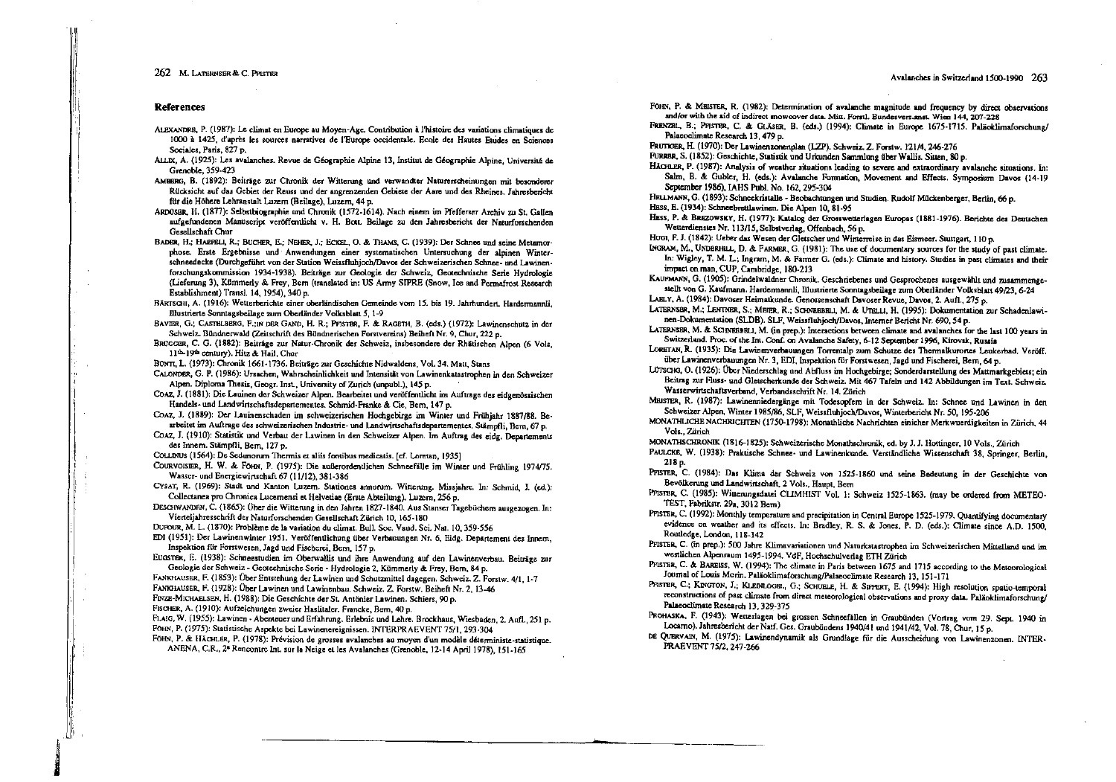#### Avalanches in Switzerland 1500-1990 263

#### **References**

- ALEXANDRE, P. (1987): Le climat en Europe au Moyen-Age. Contribution à l'histoire des variations climatiques de 1000 à 1425, d'après les sources narratives de l'Europe occidentale. Ecole des Hautes Euides en Sciences Sociales, Paris, 827 p.
- ALLIX, A. (1925): Les avalanches. Revue de Géographie Alpine 13, Institut de Géographie Alpine, Université de Grenoble, 359-423
- AMBERG, B. (1892): Beiträge zur Chronik der Witterung und verwandter Naturerscheinungen mit besonderer Rücksicht auf das Gebiet der Reuss und der angrenzenden Gebiete der Aare und des Rheines. Jahresbericht für die Höhere Lehranstalt Luzern (Beilage), Luzern, 44 p.
- ARDOSRR, H. (1877): Selbstbiographie und Chronik (1572-1614). Nach einem im Pfefferser Archiv zu St. Gallen aufgefundenen Manuscript veröffentlicht v. H. Bott. Beilage zu den Jahresbericht der Naturforschenden Gesellschaft Chur
- BADER, H.; HAEPELI, R.; BUCHER, E.; NEHER, J.; ECKEL, O. & THAMS, C. (1939); Der Schnee und seine Metamorphose. Erste Ergebnisse und Anwendungen einer systematischen Untersuchung der alpinen Winterschneedecke (Durchgeführt von der Station Weissfluhjoch/Davos der Schweizerischen Schnee- und Lawinenforschungskommission 1934-1938). Beiträge zur Geologie der Schweiz, Geotechnische Serie Hydrologie (Lieferung 3), Kümmerly & Frey. Bern (translated in: US Army SIPRE (Snow, Ice and Permafrost Research Establishment) Transl. 14. 1954). 340 p.
- BÄRTSGH, A. (1916): Wetterberichte einer oberländischen Gemeinde vom 15. bis 19. Jahrhundert. Hardermannti. Illustrierte Sonntagsbeilage zum Oberländer Volksblatt 5, 1-9
- BAVER, G.; CASTELBERG, F.; IN DER GAND, H. R.; PFISTER, F. & RAGETH, B. (eds.) (1972); Lawinenschutz in der Schweiz. Bündnerwald (Zeitschrift des Bündnerischen Forstvereins) Beiheft Nr. 9, Chur, 222 p.
- BRÜGGER, C. G. (1882): Beiträge zur Natur-Chronik der Schweiz, insbesondere der Rhätischen Alpen (6 Vols, 11th-19th century). Hitz & Hail, Chur
- BONTI, L. (1973): Chronik 1661-1736, Beiträge zur Geschichte Nidwaldens, Vol. 34. Matt, Stans
- CALONDER. G. P. (1986): Ursachen. Wahrscheinlichkeit und Intensität von Lawinenkatastrophen in den Schweizer Alpen, Diploma Thesis, Geogr, Inst., University of Zurich (unpubl.), 145 p.
- COAZ, J. (1881): Die Lauinen der Schweizer Alpen. Bearbeitet und veröffentlicht im Auftrage des eidgenössischen Handels- und Landwirtschaftsdepartementes. Schmid-Franke & Cie. Bern. 147 p.
- COAZ, J. (1889): Der Lauinenschaden im schweizerischen Hochgebirge im Winter und Frühighr 1887/88. Bearbeitet im Auftrage des schweizerischen Industrie- und Landwirtschaftsdepartementes. Stämofli. Bern. 67 p.
- COAZ, J. (1910): Statistik und Verbau der Lawinen in den Schweizer Alpen. Im Auftrag des eidg. Departements des Innem. Stämpfli, Bern, 127 p.
- COLLINUS (1564): De Sedunorum Thermis et aliis fontibus medicatis, [cf. Loretan, 1935]
- COURVOISIER, H. W. & FOHN, P. (1975): Die außerordentlichen Schneefälle im Winter und Frühling 1974/75. Wasser- und Energiewirtschaft 67 (11/12), 381-386
- CYSAT, R. (1969): Stadt und Kanton Luzern. Stationes annorum. Witterung. Missjahre. In: Schmid, J. (ed.): Collectanea pro Chronica Lucemensi et Helvetiae (Erste Abteilung). Luzem, 256 p.
- DESCHWANDRN, C. (1865): Über die Witterung in den Jahren 1827-1840. Aus Stanser Tagebüchern ausgezogen. In: Vierteliahresschrift der Naturforschenden Gesellschaft Zürich 10, 165-180
- DUPOUR, M. L. (1870): Problème de la variation du climat, Bull. Soc. Vaud. Sci. Nat. 10. 359-556
- EDI (1951): Der Lawinenwinter 1951. Veröffentlichung über Verbauungen Nr. 6, Eidg. Departement des Innem, Inspektion für Forstwesen, Jagd und Fischerei, Bern. 157 p.
- EUGSTER, E. (1938): Schneestudien im Oberwallis und ihre Anwendung auf den Lawinenverbau. Beiträge zur Geologie der Schweiz - Geotechnische Serie - Hydrologie 2, Kümmerly & Frey, Bern, 84 p.
- FANKHAUSER, F. (1853): Über Entstehung der Lawinen und Schutzmittel dagegen. Schweiz. Z. Forstw. 4/1, 1-7
- FANKHAUSER, F. (1928): Über Lawinen und Lawinenbau. Schweiz. Z. Forstw. Beiheft Nr. 2, 13-46
- FINZE-MICHAELSEN, H. (1988): Die Geschichte der St. Antönier Lawinen. Schiers, 90 p.
- FISCHER, A. (1910): Aufzeichungen zweier Haslitaler, Francke, Bern, 40 p.
- FLAIG, W. (1955): Lawinen Abenteuer und Erfahrung. Erlebnis und Lehre. Brockhaus, Wiesbaden, 2. Aufl., 251 p. FOHN, P. (1975): Statistische Aspekte bei Lawinenereignissen. INTERPRAEVENT 75/1, 293-304
- FOHN, P. & HÄCHLER, P. (1978): Prévision de grosses avalanches au moyen d'un modèle déterministe-statistique. ANENA, C.R., 2<sup>6</sup> Rencontre Int. sur la Neige et les Avalanches (Grenoble, 12-14 April 1978), 151-165
- FOHN, P. & MEISTER, R. (1982): Determination of avalanche magnitude and frequency by direct observations and/or with the aid of indirect mowcover data. Mitt. Forstl. Bundesvers.anst. Wien 144, 207-228
- FRENZEL, B.; Pristre, C. & GLAsER, B. (eds.) (1994); Climate in Europe 1675-1715. Paläoklimaforschung/ Palacoclimate Research 13, 479 p.
- FRUTKER, H. (1970): Der Lawinenzonenplan (LZP). Schweiz, Z. Forstw. 121/4, 246-276
- FURRER, S. (1852): Geschichte, Statistik und Urkunden Sammlung über Wallis, Sitten, 80 p.
- HAGER, P. (1987): Analysis of weather situations leading to severe and extraordinary avalanche situations. In: Salm, B. & Gubler, H. (eds.): Avalanche Formation. Movement and Effects. Symposium Davos (14-19) September 1986), IAHS Publ. No. 162, 295-304
- HELLMANN, G. (1893): Schneekristalle Beobachtungen und Studien. Rudolf Mückenberger, Berlin, 66 p.
- HESS, E. (1934): Schneebrettlawinen. Die Alpen 10, 81-95
- HESS, P. & BREZOWSKY, H. (1977): Katalog der Grosswetterlagen Europas (1881-1976). Berichte des Deutschen Wetterdienstes Nr. 113/15, Selbstverlag, Offenbach, 56 p.
- HUGI, F. J. (1842): Ueber das Wesen der Gleischer und Winterreise in das Eismeer. Stuttgart, 110 p.
- INGRAM, M., UNDERHILL, D. & FARMER, G. (1981): The use of documentary sources for the study of past climate. In: Wigley, T. M. L.; Ingram, M. & Farmer G. (eds.): Climate and history. Studies in past climates and their impact on man, CUP, Cambridge, 180-213
- KAUPMANN, G. (1905): Grindelwaldner Chronik. Geschriebenes und Gesprochenes ausgewählt und zusammengestellt von G. Kaufmann, Hardermannli, Illustrierte Sonntagsbeilage zum Oberländer Volksblatt 49/23, 6-24 LAELY, A. (1984): Davoser Heimatkunde. Genossenschaft Davoser Revue, Davos, 2. Aufl., 275 p.
- 
- LATERNSER, M.; LENTNER, S.; MEIER, R.; SCHNEBBELL, M. & UTELLI, H. (1995): Dokumentation zur Schadenlawinen-Dokumentation (SLDB), SLF, Weissfluhjoch/Davos, Interner Bericht Nr. 690, 54 p.
- LATERNSER, M. & SCHWEBBELL, M. (in prep.): Interactions between climate and avalanches for the last 100 years in Switzerland. Proc. of the Int. Conf. on Avalanche Safety, 6-12 September 1996, Kirovsk, Russia
- LORETAN, R. (1935): Die Lawinenverbauungen Torrentalp zum Schutze des Thermalkurones Leukerbad, Veröff. über Lawinenverbauungen Nr. 3, EDI, Inspektion für Forstwesen, Jagd und Fischerei, Bern, 64 p.
- LUTSCHG, O. (1926): Über Niederschlag und Abfluss im Hochgebirge; Sonderdarstellung des Mattmarkgebiets; ein Beitrag zur Fluss- und Gleischerkunde der Schweiz. Mit 467 Tafeln und 142 Abbildungen im Text. Schweiz. Wasserwirtschaftsverband, Verbandsschrift Nr. 14. Zürich
- MRISTER, R. (1987): Lawinenniedergänge mit Todesopfern in der Schweiz. In: Schnee und Lawinen in den Schweizer Alpen, Winter 1985/86, SLF, Weissfluhjoch/Davos, Winterbericht Nr. 50, 195-206
- MONATHLICHE NACHRICHTEN (1750-1798): Monathliche Nachrichten einicher Merkwuerdigkeiten in Zürich, 44 Vols. Zürich
- MONATHSCHRONIK (1816-1825): Schweizerische Monathschronik, ed. by J. J. Hottinger, 10 Vols., Zürich
- PAULCKE, W. (1938): Praktische Schnee- und Lawinenkunde. Verständliche Wissenschaft 38, Springer, Berlin, 218 p.
- PFISTER, C. (1984): Das Klima der Schweiz von 1525-1860 und seine Bedeutung in der Geschichte von Bevölkerung und Landwirtschaft, 2 Vols., Haupt, Bern
- PPISTBR, C. (1985): Witterungsdatei CLIMHIST Vol. 1: Schweiz 1525-1863. (may be ordered from METEO-TEST Fabrikstr. 29a 3012 Bern)
- PFISTER, C. (1992): Monthly temperature and precipitation in Central Europe 1525-1979. Quantifying documentary evidence on weather and its effects. In: Bradley, R. S. & Jones, P. D. (eds.): Climate since A.D. 1500, Routledge, London, 118-142
- PFISTER, C. (in prep.): 500 Jahre Klimavariationen und Naturkatastrophen im Schweizenschen Mittelland und im westlichen Alpensaum 1495-1994, VdF, Hochschulverlag ETH Zürich
- PFISTER, C. & BAREISS, W. (1994): The climate in Paris between 1675 and 1715 according to the Meteorological Journal of Louis Morin. Paläoklimaforschung/Palaeoclimate Research 13, 151-171
- PASTER, C.; KINGTON, J.; KLEINLOGRI, G.; SCHUELE, H. & SIFFERT, E. (1994): High resolution spatio-temporal reconstructions of past climate from direct meteorological observations and proxy data. Paläoklimaforschung/ Palaeoclimate Research 13, 329-375
- PROHASKA, F. (1943): Wetterlagen bei grossen Schneefällen in Graubünden (Vortrag vom 29. Sept. 1940 in Locarno). Jahresbericht der Natf. Ges. Graubündens 1940/41 und 1941/42, Vol. 78, Chur, 15 p.
- DE QUERVAIN, M. (1975): Lawinendynamik als Grundlage für die Ausscheidung von Lawinenzonen. INTER-PRAEVENT 75/2, 247-266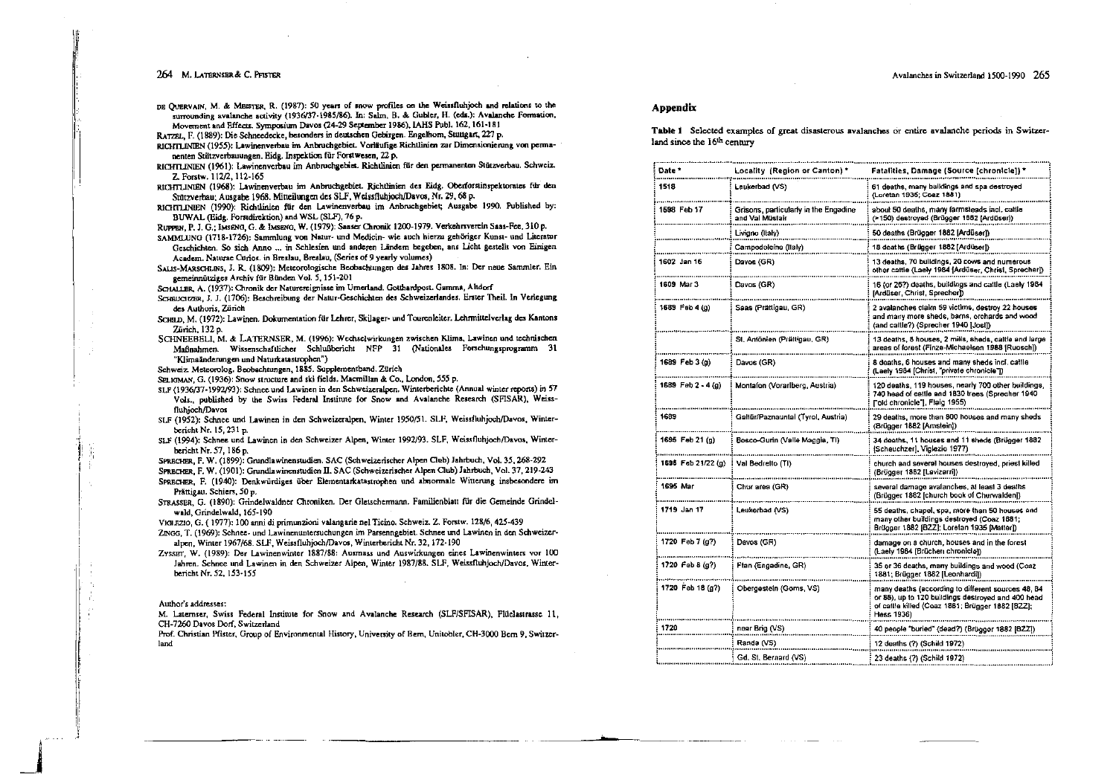Avalanches in Switzerland 1500-1990 265

DE QUERVAIN, M. & MEISTER, R. (1987): 50 years of snow profiles on the Weissfluhjoch and relations to the surrounding avalanche activity (1936/37-1985/86). In: Salm, B. & Gubler, H. (eds.): Avalanche Formation, Movement and Effects. Symposium Davos (24-29 September 1986), IAHS Publ. 162, 161-181

RATZEL, F. (1889): Die Schneedecke, besonders in deutschen Gebirgen. Engelhom, Stuttgart, 227 p.

- RICHTLINIEN (1955): Lawinenverbau im Anbruchgebiet. Vorläufige Richtlinien zur Dimensionierung von Dermanenten Stützverbauungen. Eidg. Inspektion für Forstwesen. 22 p.
- RICHTLINIEN (1961): Lawinenverbau im Anbruchgebiet. Richtlinien für den permanenten Stützverbau. Schweiz. Z. Forstw. 112/2, 112-165
- RICHTLINIEN (1968): Lawinenverbau im Anbruchgebiet. Richtlinien des Eidg. Oberforstinspektorates für den Stützverbau; Ausgabe 1968. Mitteilungen des SLF, Weissfluhioch/Davos, Nr. 29. 68 p.
- RICHTLINIEN (1990): Richtlinien für den Lawinenverbau im Anbruchgebiet; Ausgabe 1990, Published by: BUWAL (Eide, Forstdirektion) and WSL (SLF), 76 p.

RUPPEN, P. J. G., IMSENG, G. & IMSENG, W. (1979): Saaser Chronik 1200-1979. Verkehrsverein Saas-Fee, 310 p.

- SAMMLUNG (1718-1726): Sammlung von Natur- und Medicin- wie auch hierzu gehöriger Kunst- und Literatur Geschichten. So sich Anno ... in Schlesien und anderen Ländern begeben, ans Licht gestellt von Einigen Academ. Naturae Curios. in Breslau, Breslau, (Series of 9 yearly volumes)
- SALIS-MARSCHLINS, J. R. (1809): Meteorologische Beobachtungen des Jahres 1808. In: Der neue Sammler. Ein gemeinnütziges Archiv für Bünden Vol. 5, 151-201
- SCHALLER, A. (1937); Chronik der Naturereignisse im Umerland. Gotthardpost, Gamma, Altdorf
- SCHRUCIZER, J. J. (1706): Beschreibung der Natur-Geschichten des Schweizerlandes. Erster Theil. In Verlegung des Authoris, Zürich
- SCHILD, M. (1972): Lawinen. Dokumentation für Lehrer, Skilager- und Tourenleiter. Lehrmittelverlag des Kantons Zürich, 132 p.
- SCHNEEBELL, M. & LATERNSER, M. (1996): Wechselwirkungen zwischen Klima, Lawinen und technischen Maßnahmen. Wissenschaftlicher Schlußbericht NFP 31 (Nationales Forschungsprogramm 31 "Klimaänderungen und Naturkatastrophen")

Schweiz, Meteorolog, Beobachtungen, 1885. Supplementband. Zürich

- SELIGMAN, G. (1936): Snow structure and ski fields. Macmillan & Co., London, 555 p.
- SLF (1936/37-1992/93): Schnee und Lawinen in den Schweizeralpen. Winterberichte (Annual winter reports) in 57
- Vols., published by the Swiss Federal Institute for Snow and Avalanche Research (SFISAR), Weissfluhioch/Davos
- SLF (1952); Schnee und Lawinen in den Schweizeralpen, Winter 1950/51. SLF, Weissfluhjoch/Davos, Winterbericht Nr. 15, 231 p.
- SLF (1994): Schnee und Lawinen in den Schweizer Alpen, Winter 1992/93. SLF, Weissfluhjoch/Davos, Winterbericht Nr. 57, 186 p.
- SPRECHER, F. W. (1899); Grundlawinenstudien, SAC (Schweizerischer Alpen Club) Jahrbuch, Vol. 35, 268-292

SPRECHER, F. W. (1901): Grundlawinenstudien II. SAC (Schweizerischer Alpen Club) Jahrbuch, Vol. 37, 219-243

- SPRECHER. F. (1940): Denkwürdiges über Elementarkatastrophen und abnormale Witterung insbesondere im Prättigau. Schiers, 50 p.
- STRASSER, G. (1890): Grindelwaldner Chroniken. Der Gletschermann. Familienblatt für die Gemeinde Grindelwald, Grindelwald, 165-190
- VIGLEZIO, G. (1977): 100 anni di primunzioni valangarie nel Ticino, Schweiz. Z. Forstw. 128/6, 425-439
- ZINGG, T. (1969): Schnee- und Lawinenuntersuchungen im Parsenngebiet. Schnee und Lawinen in den Schweizeralpen, Winter 1967/68. SLF, Weissfluhjoch/Davos, Winterbericht Nr. 32, 172-190
- ZYSSET, W. (1989): Der Lawinenwinter 1887/88: Ausmass und Auswirkungen eines Lawinenwinters vor 100 Jahren. Schnee und Lawinen in den Schweizer Alpen, Winter 1987/88. SLF, Weissfluhjoch/Davos, Winterbericht Nr. 52, 153-155

#### Author's addresses:

M. Laternser, Swiss Federal Institute for Snow and Avalanche Research (SLF/SFISAR), Flüelastrasse 11, CH-7260 Davos Dorf, Switzerland

Prof. Christian Pfister, Group of Environmental History, University of Bern, Unitobler, CH-3000 Bern 9, Switzerland

#### Appendix

Table 1 Selected examples of great disasterous avalanches or entire avalanche periods in Switzerland since the 16<sup>th</sup> century

| Date *               | Locality (Region or Canton) '                            | Fatalities, Damage (Source [chronicle]) '                                                                                                                                  |
|----------------------|----------------------------------------------------------|----------------------------------------------------------------------------------------------------------------------------------------------------------------------------|
| 1518                 | Leukerbad (VS)                                           | 61 deaths, many buildings and spa destroyed<br>(Loretan 1935; Coaz 1881)                                                                                                   |
| 1596 Feb 17          | Grisons, particularly in the Engadine<br>and Val Müstair | about 50 deaths, many farmsteads incl. cattle<br>(>150) destroyed (Brügger 1682 (Ardüser))                                                                                 |
|                      | Livigno (Italy)                                          | 50 deaths (Brügger 1882 [Ardüser])                                                                                                                                         |
|                      | Campodolcino (Italy)                                     | 18 deaths (Brügger 1882 [Ardüser])                                                                                                                                         |
| 1602 Jan 16          | Davos (GR)                                               | 13 deaths, 70 buildings, 20 cows and numer<br>other cattle (Laely 1984 [Ardüser, Christ, Sprechar])                                                                        |
| 1609 Mar 3           | Davos (GR)                                               | 16 (or 26?) deaths, buildings and cattle (Laely 1984<br>(Arduser, Christ, Sprecher))                                                                                       |
| 1689 Feb 4 (g)       | Saas (Prättigau, GR)                                     | 2 avalanches claim 59 victims, destroy 22 houses<br>and many more sheds, barns, orchards and wood<br>(and cattle?) (Sprecher 1940 [Jost])                                  |
|                      | St. Antönien (Prättigau, GR)                             | 13 deaths, 8 houses, 2 mills, sheds, cattle and large<br>areas of forest (Finze-Michaelsen 1988 [Ruosch])                                                                  |
| 1689 Feb 3 (g)       | Davos (GR)                                               | 8 deaths, 6 houses and many sheds incl. cattle<br>(Laely 1984 [Christ "private chronicie"])                                                                                |
| 1689 Feb $2 - 4$ (g) | Montafon (Vorarlberg, Austria)                           | 120 deaths, 119 houses, nearly 700 other buildings,<br>740 head of cattle and 1830 trees (Sprecher 1940<br>Fold chronicle"], Fiaig 1955)                                   |
| 1689                 | Galtür/Paznauntal (Tyrol, Austria)                       | 29 deaths, more than 800 houses and many sheds<br>(Brügger 1882 [Amstein])                                                                                                 |
| 1695 Feb 21 (g)      | Bosco-Gurin (Valle Maggia, TI)                           | 34 deaths, 11 houses and 11 sheds (Brügger 1882<br>[Scheuchzer], Viglezio 1977)                                                                                            |
| 1695 Feb 21/22 (g)   | Val Bedretto (TI)                                        | church and several houses destroyed, priest killed<br>(Brügger 1882 [Lavizarri])                                                                                           |
| 1695 Mar             | Chur area (GR)                                           | several damage avalanches, at least 3 deaths<br>(Brügger 1882 [church book of Churwalden])                                                                                 |
| 1719 Jan 17          | Leukerbad (VS)                                           | 55 deaths, chapel, spa, more than 50 houses and<br>many other buildings destroyed (Coaz 1881;<br>Brügger 1882 [BZZ]; Loretan 1935 [Matter])                                |
| 1720 Feb 7 (g?)      | Davos (CR)                                               | damage on a church, houses and in the forest<br>(Laely 1984 [Brüchen chronicle])                                                                                           |
| 1720 Feb 8 $(g?)$    | Ftan (Engadine, GR)                                      | 35 or 36 deaths, many buildings and wood (Coaz<br>1881; Brügger 1882 [Leonhardi])                                                                                          |
| 1720 Feb 18 (g?)     | Obergestein (Goms, VS)                                   | many deaths (according to different sources 48, 84<br>or 88), up to 120 buildings destroyed and 400 head<br>of cattle killed (Coaz 1881; Brügger 1882 [8ZZ];<br>Hess 1936) |
| 1720                 | near Brig (VS)                                           | 40 people "buried" (dead?) (Brügger 1882 [822])                                                                                                                            |
|                      | Randa (VS)                                               | 12 deaths (?) (Schild 1972)                                                                                                                                                |
|                      | Gd. St. Bernard (VS)                                     | 23 deaths (?) (Schild 1972)                                                                                                                                                |